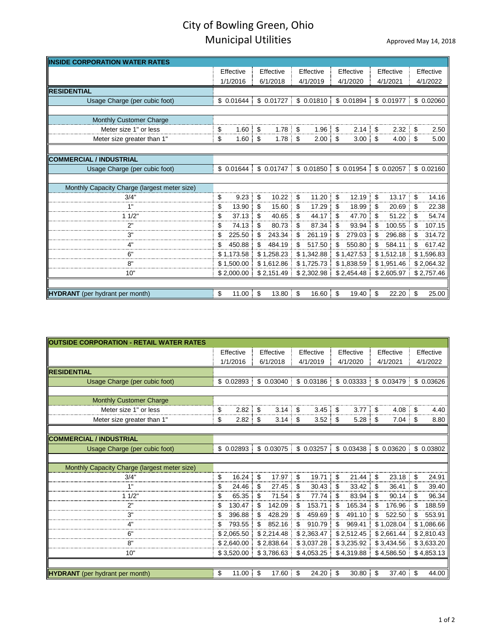## City of Bowling Green, Ohio Municipal Utilities **Approved May 14, 2018**

| <b>INSIDE CORPORATION WATER RATES</b>        |           |            |           |            |           |            |           |            |           |                |           |            |
|----------------------------------------------|-----------|------------|-----------|------------|-----------|------------|-----------|------------|-----------|----------------|-----------|------------|
|                                              | Effective |            | Effective |            | Effective |            | Effective |            | Effective |                | Effective |            |
|                                              | 1/1/2016  |            | 6/1/2018  |            | 4/1/2019  |            | 4/1/2020  |            | 4/1/2021  |                | 4/1/2022  |            |
| <b>RESIDENTIAL</b>                           |           |            |           |            |           |            |           |            |           |                |           |            |
| Usage Charge (per cubic foot)                |           | \$0.01644  |           | \$0.01727  |           | \$0.01810  |           | \$ 0.01894 |           | \$ 0.01977     |           | \$ 0.02060 |
|                                              |           |            |           |            |           |            |           |            |           |                |           |            |
| Monthly Customer Charge                      |           |            |           |            |           |            |           |            |           |                |           |            |
| Meter size 1" or less                        | \$        | 1.60       | \$        | $1.78$ \$  |           | 1.96       | \$        | 2.14       | \$        | $2.32 \quad $$ |           | 2.50       |
| Meter size greater than 1'                   | \$        | 1.60       | \$        | $1.78$ \$  |           | 2.00<br>÷  | \$        | 3.00       | \$        | 4.00           | \$        | 5.00       |
|                                              |           |            |           |            |           |            |           |            |           |                |           |            |
| <b>COMMERCIAL / INDUSTRIAL</b>               |           |            |           |            |           |            |           |            |           |                |           |            |
| Usage Charge (per cubic foot)                |           | \$0.01644  |           | \$0.01747  |           | \$ 0.01850 |           | \$0.01954  |           | \$0.02057      |           | \$0.02160  |
| Monthly Capacity Charge (largest meter size) |           |            |           |            |           |            |           |            |           |                |           |            |
| 3/4"                                         | \$        | 9.23       | \$        | 10.22      | \$        | 11.20<br>÷ | \$        | 12.19<br>÷ | \$        | 13.17          | \$        | 14.16      |
|                                              | \$        | 13.90      | \$        | 15.60      | \$        | 17.29<br>÷ | \$        | 18.99      | S         | 20.69<br>-3    | \$        | 22.38      |
| 1/2"                                         | \$        | 37.13      |           | 40.65<br>÷ | \$        | 44.17      | \$        | 47.70      | S         | 51.22          |           | 54.74      |
| 2"                                           | \$        | 74.13      |           | 80.73<br>4 | \$        | 87.34      | \$        | 93.94      | \$        | 100.55         | \$        | 107.15     |
| 3"                                           | \$        | 225.50     | S         | 243.34     | \$        | 261.19     | \$        | 279.03     | S         | 296.88         | \$        | 314.72     |
|                                              | \$        | 450.88     | \$        | 484.19     | \$        | 517.50     | \$        | 550.80     | \$        | 584.11         | S         | 617.42     |
| ճ"                                           |           | \$1.173.58 |           | \$1,258.23 |           | \$1,342.88 |           | \$1,427.53 |           | \$1,512.18     |           | \$1,596.83 |
| 8"                                           |           | \$1,500.00 |           | \$1,612.86 |           | \$1,725.73 |           | \$1,838.59 |           | \$1,951.46     |           | \$2,064.32 |
| 10"                                          |           | \$2,000.00 |           | \$2,151.49 |           | \$2,302.98 |           | \$2,454.48 |           | \$2,605.97     |           | \$2,757.46 |
|                                              |           |            |           |            |           |            |           |            |           |                |           |            |
| <b>HYDRANT</b> (per hydrant per month)       | \$        | 11.00      | \$        | $13.80$ \$ |           | 16.60%     |           | 19.40      | \$        | $22.20$ \$     |           | 25.00      |

| <b>OUTSIDE CORPORATION - RETAIL WATER RATES</b> |                       |                       |                       |              |                        |                  |  |
|-------------------------------------------------|-----------------------|-----------------------|-----------------------|--------------|------------------------|------------------|--|
|                                                 | Effective             | Effective             | Effective             | Effective    | Effective              | Effective        |  |
|                                                 | 1/1/2016              | 6/1/2018              | 4/1/2019              | 4/1/2020     | 4/1/2021               | 4/1/2022         |  |
| <b>RESIDENTIAL</b>                              |                       |                       |                       |              |                        |                  |  |
| Usage Charge (per cubic foot)                   | \$0.02893             |                       | $$0.03040$ $$0.03186$ | \$0.03333    | \$ 0.03479             | \$ 0.03626       |  |
|                                                 |                       |                       |                       |              |                        |                  |  |
| <b>Monthly Customer Charge</b>                  |                       |                       |                       |              |                        |                  |  |
| Meter size 1" or less                           | \$<br>$2.82$ \$       | $3.14 \quad$ \$       | 3.45                  | - \$<br>3.77 | 4.08 <sup>°</sup><br>S | 4.40             |  |
| Meter size greater than 1"                      | \$<br>$2.82 \quad$ \$ | $3.14$ \$             | $3.52 \quad$ \$       | 5.28         | $7.04$ \$<br>\$        | 8.80             |  |
|                                                 |                       |                       |                       |              |                        |                  |  |
| <b>COMMERCIAL / INDUSTRIAL</b>                  |                       | $$0.02893$ $$0.03075$ |                       | \$0.03438    | \$ 0.03620             | \$ 0.03802       |  |
| Usage Charge (per cubic foot)                   |                       |                       | \$0.03257             |              |                        |                  |  |
| Monthly Capacity Charge (largest meter size)    |                       |                       |                       |              |                        |                  |  |
| 3/4"                                            | \$<br>$16.24$ \$      | 17.97                 | \$<br>19.71<br>÷      | \$<br>21.44  | $23.18$ \$<br>S        | 24.91            |  |
|                                                 | \$<br>24.46           | \$<br>27.45           | \$<br>30.43           | \$<br>33.42  | 36.41<br>S             | 39.40<br>S<br>÷  |  |
| 11/2"                                           | \$<br>65.35           | \$<br>71.54           | \$<br>77.74           | \$<br>83.94  | 90.14                  | 96.34<br>\$<br>÷ |  |
| 2"                                              | \$<br>130.47          | 142.09<br>\$          | \$<br>153.71          | \$<br>165.34 | 176.96                 | 188.59<br>\$     |  |
| 3"                                              | \$<br>396.88          | \$<br>428.29          | 459.69<br>\$.         | \$<br>491.10 | 522.50<br>\$           | 553.91<br>\$     |  |
|                                                 | 793.55<br>\$          | \$<br>852.16          | 910.79<br>\$.         | 969.41<br>\$ | \$1,028.04             | \$1,086.66       |  |
| 6"                                              | \$2,065.50            | \$2,214.48            | \$2,363.47            | \$2,512.45   | \$2,661.44             | \$2,810.43       |  |
| 8"                                              | \$2,640.00            | \$2,838.64            | \$3,037.28            | \$3,235.92   | \$3,434.56             | \$3,633.20       |  |
| 10"                                             | \$3,520.00            | \$3,786.63            | \$4,053.25            | \$4,319.88   | \$4,586.50             | \$4,853.13       |  |
|                                                 |                       |                       |                       |              |                        |                  |  |
| <b>HYDRANT</b> (per hydrant per month)          | $11.00$ \$<br>\$      | 17.60                 | \$<br>24.20           | \$<br>30.80  | \$<br>37.40            | \$<br>44.00      |  |